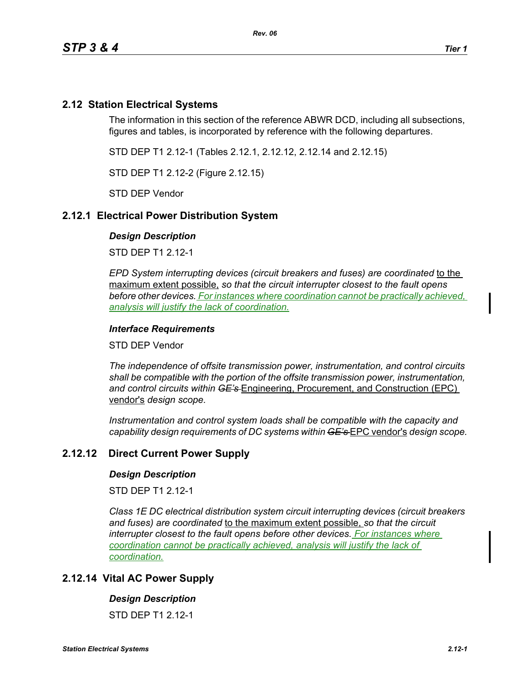# **2.12 Station Electrical Systems**

The information in this section of the reference ABWR DCD, including all subsections, figures and tables, is incorporated by reference with the following departures.

STD DEP T1 2.12-1 (Tables 2.12.1, 2.12.12, 2.12.14 and 2.12.15)

STD DEP T1 2.12-2 (Figure 2.12.15)

STD DEP Vendor

## **2.12.1 Electrical Power Distribution System**

### *Design Description*

STD DEP T1 2.12-1

*EPD System interrupting devices (circuit breakers and fuses) are coordinated* to the maximum extent possible, *so that the circuit interrupter closest to the fault opens before other devices. For instances where coordination cannot be practically achieved, analysis will justify the lack of coordination.*

## *Interface Requirements*

STD DEP Vendor

*The independence of offsite transmission power, instrumentation, and control circuits shall be compatible with the portion of the offsite transmission power, instrumentation, and control circuits within GE's* Engineering, Procurement, and Construction (EPC) vendor's *design scope.*

*Instrumentation and control system loads shall be compatible with the capacity and capability design requirements of DC systems within GE's* EPC vendor's *design scope.*

# **2.12.12 Direct Current Power Supply**

### *Design Description*

STD DFP T1 2 12-1

*Class 1E DC electrical distribution system circuit interrupting devices (circuit breakers and fuses) are coordinated* to the maximum extent possible, *so that the circuit interrupter closest to the fault opens before other devices. For instances where coordination cannot be practically achieved, analysis will justify the lack of coordination.*

## **2.12.14 Vital AC Power Supply**

### *Design Description*

STD DFP T1 2 12-1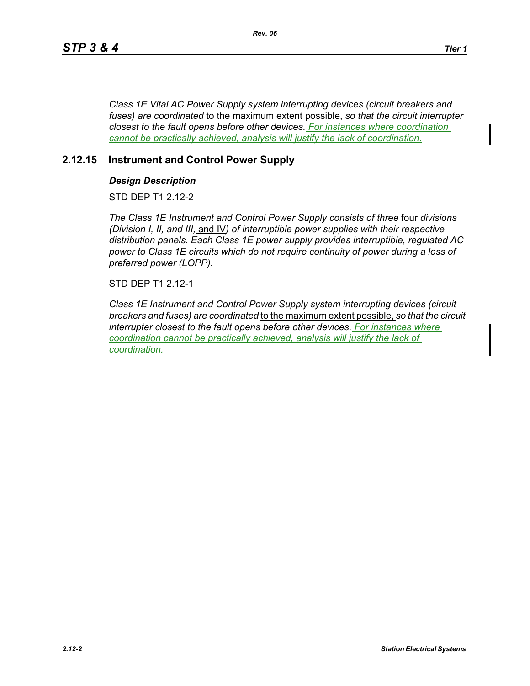*Class 1E Vital AC Power Supply system interrupting devices (circuit breakers and fuses) are coordinated* to the maximum extent possible, *so that the circuit interrupter closest to the fault opens before other devices. For instances where coordination cannot be practically achieved, analysis will justify the lack of coordination.*

## **2.12.15 Instrument and Control Power Supply**

## *Design Description*

STD DEP T1 2.12-2

*The Class 1E Instrument and Control Power Supply consists of three* four *divisions (Division I, II, and III,* and IV*) of interruptible power supplies with their respective distribution panels. Each Class 1E power supply provides interruptible, regulated AC power to Class 1E circuits which do not require continuity of power during a loss of preferred power (LOPP).*

STD DEP T1 2.12-1

*Class 1E Instrument and Control Power Supply system interrupting devices (circuit breakers and fuses) are coordinated* to the maximum extent possible, *so that the circuit interrupter closest to the fault opens before other devices. For instances where coordination cannot be practically achieved, analysis will justify the lack of coordination.*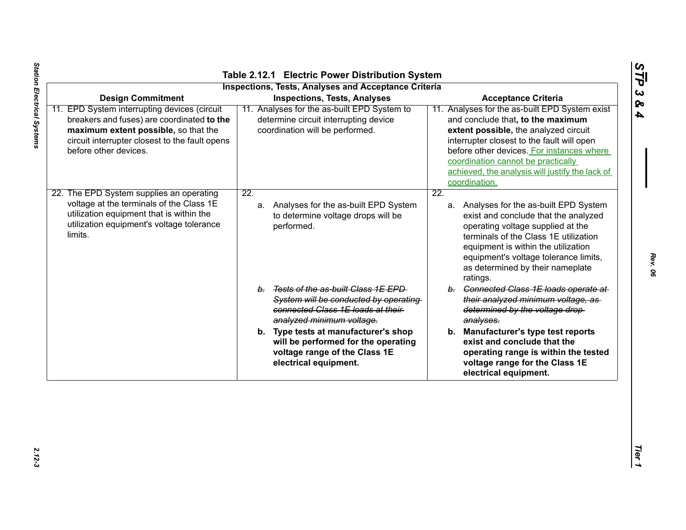|                                                                                                                                                                                                               | <b>Inspections, Tests, Analyses and Acceptance Criteria</b>                                                                                      |                                                                                                                                                                                                                                                                                                                                   |
|---------------------------------------------------------------------------------------------------------------------------------------------------------------------------------------------------------------|--------------------------------------------------------------------------------------------------------------------------------------------------|-----------------------------------------------------------------------------------------------------------------------------------------------------------------------------------------------------------------------------------------------------------------------------------------------------------------------------------|
| <b>Design Commitment</b>                                                                                                                                                                                      | <b>Inspections, Tests, Analyses</b>                                                                                                              | <b>Acceptance Criteria</b>                                                                                                                                                                                                                                                                                                        |
| 11. EPD System interrupting devices (circuit<br>breakers and fuses) are coordinated to the<br>maximum extent possible, so that the<br>circuit interrupter closest to the fault opens<br>before other devices. | 11. Analyses for the as-built EPD System to<br>determine circuit interrupting device<br>coordination will be performed.                          | 11. Analyses for the as-built EPD System exist<br>and conclude that, to the maximum<br>extent possible, the analyzed circuit<br>interrupter closest to the fault will open<br>before other devices. For instances where<br>coordination cannot be practically<br>achieved, the analysis will justify the lack of<br>coordination. |
| 22. The EPD System supplies an operating<br>voltage at the terminals of the Class 1E<br>utilization equipment that is within the<br>utilization equipment's voltage tolerance<br>limits.                      | 22.<br>a. Analyses for the as-built EPD System<br>to determine voltage drops will be<br>performed.                                               | 22.<br>a. Analyses for the as-built EPD System<br>exist and conclude that the analyzed<br>operating voltage supplied at the<br>terminals of the Class 1E utilization<br>equipment is within the utilization<br>equipment's voltage tolerance limits,<br>as determined by their nameplate<br>ratings.                              |
|                                                                                                                                                                                                               | b. Tests of the as-built Class 1E EPD<br>System will be conducted by operating<br>connected Class 1E loads at their<br>analyzed minimum voltage. | b. Connected Class 1E loads operate at<br>their analyzed minimum voltage, as<br>determined by the voltage drop-<br>analyses.                                                                                                                                                                                                      |
|                                                                                                                                                                                                               | b. Type tests at manufacturer's shop<br>will be performed for the operating<br>voltage range of the Class 1E<br>electrical equipment.            | b. Manufacturer's type test reports<br>exist and conclude that the<br>operating range is within the tested<br>voltage range for the Class 1E<br>electrical equipment.                                                                                                                                                             |

*Rev. 06*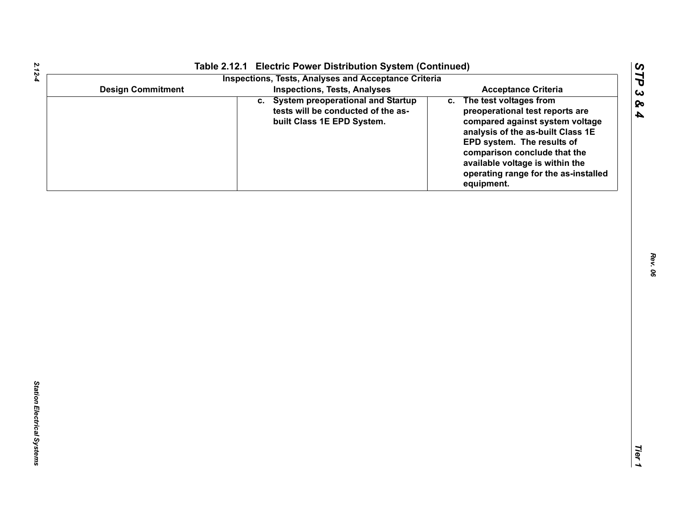|                          | Table 2.12.1 Electric Power Distribution System (Continued)<br><b>Inspections, Tests, Analyses and Acceptance Criteria</b> |                                                                                                                                                                                                                                                                                             |
|--------------------------|----------------------------------------------------------------------------------------------------------------------------|---------------------------------------------------------------------------------------------------------------------------------------------------------------------------------------------------------------------------------------------------------------------------------------------|
| <b>Design Commitment</b> | <b>Inspections, Tests, Analyses</b>                                                                                        | <b>Acceptance Criteria</b>                                                                                                                                                                                                                                                                  |
|                          | c. System preoperational and Startup<br>tests will be conducted of the as-<br>built Class 1E EPD System.                   | c. The test voltages from<br>preoperational test reports are<br>compared against system voltage<br>analysis of the as-built Class 1E<br>EPD system. The results of<br>comparison conclude that the<br>available voltage is within the<br>operating range for the as-installed<br>equipment. |
|                          |                                                                                                                            |                                                                                                                                                                                                                                                                                             |
|                          |                                                                                                                            |                                                                                                                                                                                                                                                                                             |
|                          |                                                                                                                            |                                                                                                                                                                                                                                                                                             |
|                          |                                                                                                                            |                                                                                                                                                                                                                                                                                             |
|                          |                                                                                                                            |                                                                                                                                                                                                                                                                                             |
|                          |                                                                                                                            |                                                                                                                                                                                                                                                                                             |
|                          |                                                                                                                            |                                                                                                                                                                                                                                                                                             |
|                          |                                                                                                                            |                                                                                                                                                                                                                                                                                             |
|                          |                                                                                                                            |                                                                                                                                                                                                                                                                                             |
|                          |                                                                                                                            |                                                                                                                                                                                                                                                                                             |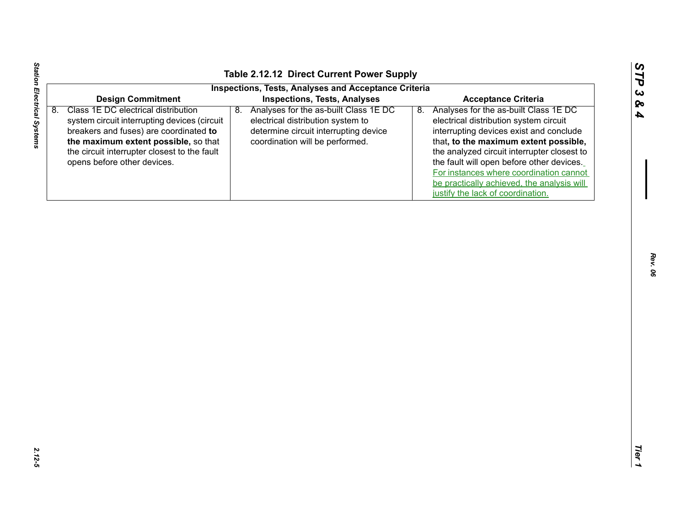| <b>Inspections, Tests, Analyses and Acceptance Criteria</b><br><b>Design Commitment</b><br><b>Inspections, Tests, Analyses</b><br><b>Acceptance Criteria</b><br>Class 1E DC electrical distribution<br>8. Analyses for the as-built Class 1E DC<br>8.<br>8.<br>system circuit interrupting devices (circuit<br>electrical distribution system to<br>determine circuit interrupting device<br>breakers and fuses) are coordinated to<br>the maximum extent possible, so that<br>coordination will be performed.<br>the circuit interrupter closest to the fault<br>opens before other devices. | Analyses for the as-built Class 1E DC<br>electrical distribution system circuit<br>interrupting devices exist and conclude<br>that, to the maximum extent possible,<br>the analyzed circuit interrupter closest to<br>the fault will open before other devices. |
|-----------------------------------------------------------------------------------------------------------------------------------------------------------------------------------------------------------------------------------------------------------------------------------------------------------------------------------------------------------------------------------------------------------------------------------------------------------------------------------------------------------------------------------------------------------------------------------------------|-----------------------------------------------------------------------------------------------------------------------------------------------------------------------------------------------------------------------------------------------------------------|
|                                                                                                                                                                                                                                                                                                                                                                                                                                                                                                                                                                                               |                                                                                                                                                                                                                                                                 |
| justify the lack of coordination.                                                                                                                                                                                                                                                                                                                                                                                                                                                                                                                                                             | For instances where coordination cannot<br>be practically achieved, the analysis will                                                                                                                                                                           |

Station Electrical Systems

 $\blacksquare$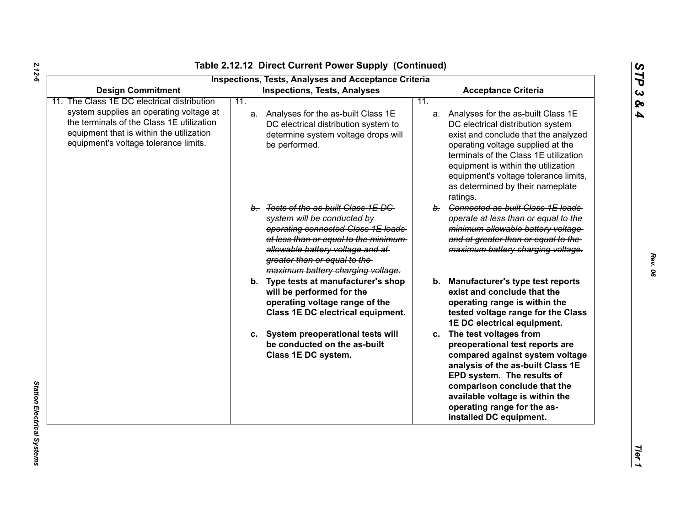| <b>Design Commitment</b>                                                                                                                                                  |     | <b>Inspections, Tests, Analyses and Acceptance Criteria</b><br><b>Inspections, Tests, Analyses</b>                                                                                                                                                           |     | <b>Acceptance Criteria</b>                                                                                                                                                                                                                                                                                                       |
|---------------------------------------------------------------------------------------------------------------------------------------------------------------------------|-----|--------------------------------------------------------------------------------------------------------------------------------------------------------------------------------------------------------------------------------------------------------------|-----|----------------------------------------------------------------------------------------------------------------------------------------------------------------------------------------------------------------------------------------------------------------------------------------------------------------------------------|
| The Class 1E DC electrical distribution                                                                                                                                   | 11. |                                                                                                                                                                                                                                                              | 11. |                                                                                                                                                                                                                                                                                                                                  |
| system supplies an operating voltage at<br>the terminals of the Class 1E utilization<br>equipment that is within the utilization<br>equipment's voltage tolerance limits. |     | a. Analyses for the as-built Class 1E<br>DC electrical distribution system to<br>determine system voltage drops will<br>be performed.                                                                                                                        |     | a. Analyses for the as-built Class 1E<br>DC electrical distribution system<br>exist and conclude that the analyzed<br>operating voltage supplied at the<br>terminals of the Class 1E utilization<br>equipment is within the utilization<br>equipment's voltage tolerance limits,<br>as determined by their nameplate<br>ratings. |
|                                                                                                                                                                           |     | b. Tests of the as-built Class 1E DC<br>system will be conducted by<br>operating connected Class 1E loads<br>at less than or equal to the minimum-<br>allowable battery voltage and at-<br>greater than or equal to the<br>maximum battery charging voltage. |     | b. Connected as-built Class 1E loads<br>operate at less than or equal to the<br>minimum allowable battery voltage<br>and at greater than or equal to the<br>maximum battery charging voltage.                                                                                                                                    |
|                                                                                                                                                                           |     | b. Type tests at manufacturer's shop<br>will be performed for the<br>operating voltage range of the<br>Class 1E DC electrical equipment.                                                                                                                     |     | b. Manufacturer's type test reports<br>exist and conclude that the<br>operating range is within the<br>tested voltage range for the Class<br>1E DC electrical equipment.                                                                                                                                                         |
|                                                                                                                                                                           |     | c. System preoperational tests will<br>be conducted on the as-built<br>Class 1E DC system.                                                                                                                                                                   |     | c. The test voltages from<br>preoperational test reports are<br>compared against system voltage<br>analysis of the as-built Class 1E<br>EPD system. The results of<br>comparison conclude that the<br>available voltage is within the<br>operating range for the as-<br>installed DC equipment.                                  |

*2.12-6*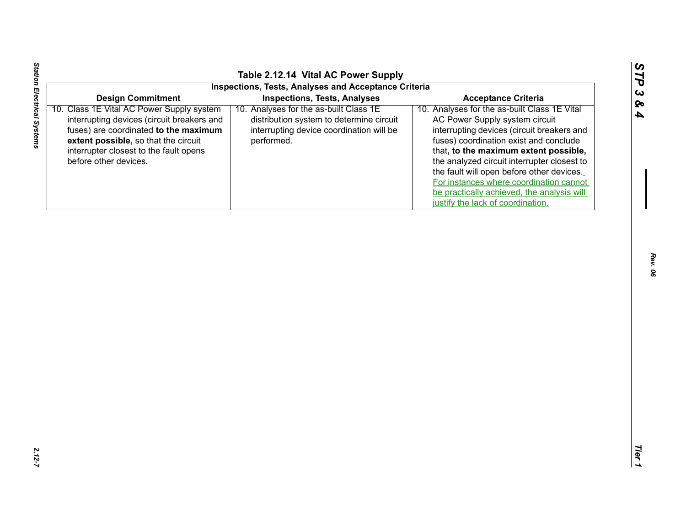| y sys |
|-------|
|       |
| okore |

|                                                                                                                                                                                                                                                | Table 2.12.14 Vital AC Power Supply<br><b>Inspections, Tests, Analyses and Acceptance Criteria</b>                                           |                                                                                                                                                                                                                                                                                                                                                                                                                                           |
|------------------------------------------------------------------------------------------------------------------------------------------------------------------------------------------------------------------------------------------------|----------------------------------------------------------------------------------------------------------------------------------------------|-------------------------------------------------------------------------------------------------------------------------------------------------------------------------------------------------------------------------------------------------------------------------------------------------------------------------------------------------------------------------------------------------------------------------------------------|
| <b>Design Commitment</b>                                                                                                                                                                                                                       | <b>Inspections, Tests, Analyses</b>                                                                                                          | <b>Acceptance Criteria</b>                                                                                                                                                                                                                                                                                                                                                                                                                |
| Class 1E Vital AC Power Supply system<br>10.<br>interrupting devices (circuit breakers and<br>fuses) are coordinated to the maximum<br>extent possible, so that the circuit<br>interrupter closest to the fault opens<br>before other devices. | 10. Analyses for the as-built Class 1E<br>distribution system to determine circuit<br>interrupting device coordination will be<br>performed. | 10. Analyses for the as-built Class 1E Vital<br>AC Power Supply system circuit<br>interrupting devices (circuit breakers and<br>fuses) coordination exist and conclude<br>that, to the maximum extent possible,<br>the analyzed circuit interrupter closest to<br>the fault will open before other devices.<br>For instances where coordination cannot<br>be practically achieved, the analysis will<br>justify the lack of coordination. |
|                                                                                                                                                                                                                                                |                                                                                                                                              |                                                                                                                                                                                                                                                                                                                                                                                                                                           |